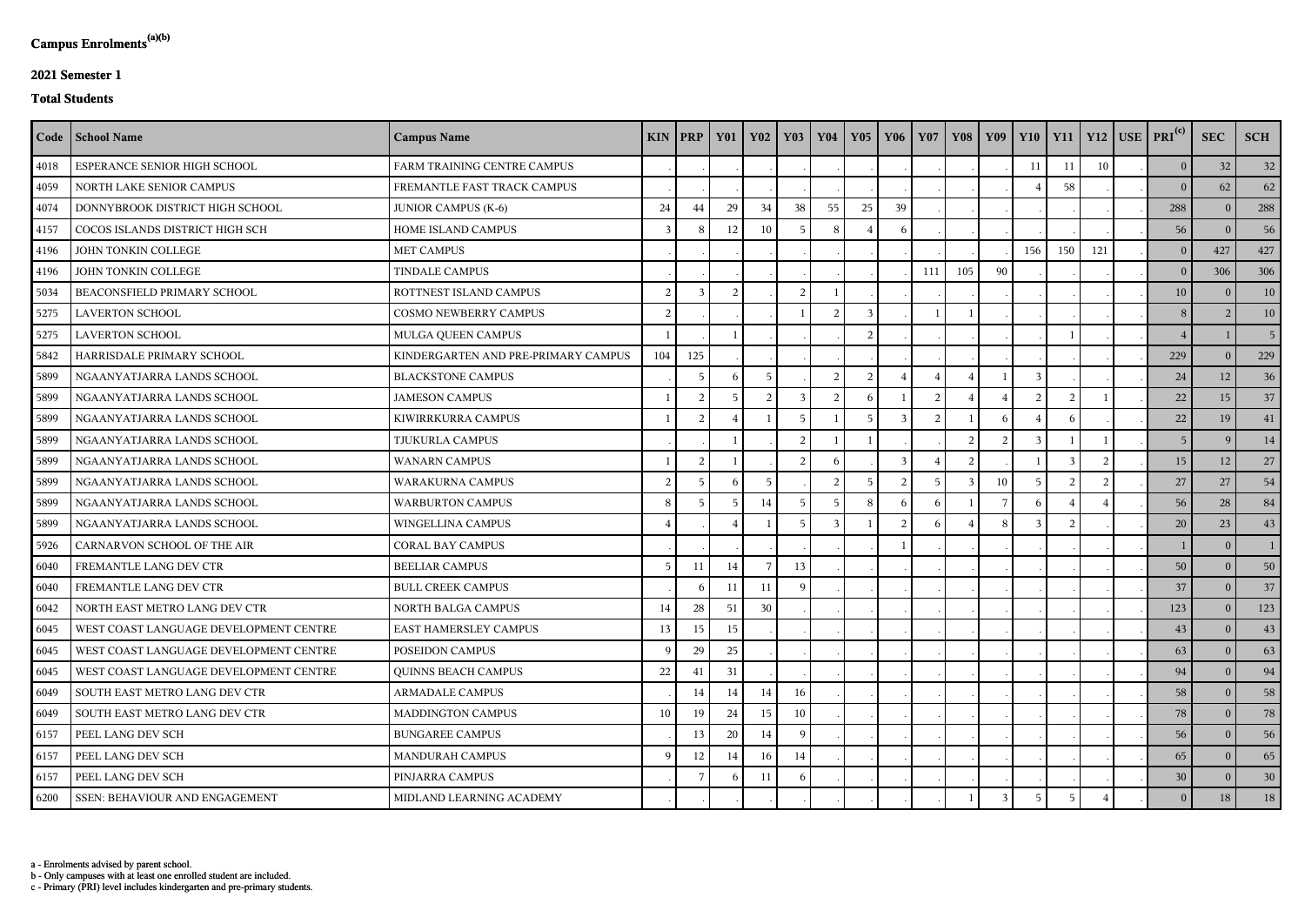c - Primary (PRI) level includes kindergarten and pre-primary students.

b - Only campuses with at least one enrolled student are included.

a - Enrolments advised by parent school.

## **2021 Semester 1**

## **Total Students**

|      | Code   School Name                     | <b>Campus Name</b>                  |                | <b>KIN PRP</b> | <b>Y01</b>     | <b>Y02</b>      | <b>Y03</b>    | <b>Y04</b>     | <b>Y05</b>    | <b>Y06</b> | <b>Y07</b> | <b>Y08</b>   | <b>Y09</b> |     | $Y10$   $Y11$ |     | $Y12$ USE PRI <sup>(c)</sup> | <b>SEC</b>     | <b>SCH</b>      |
|------|----------------------------------------|-------------------------------------|----------------|----------------|----------------|-----------------|---------------|----------------|---------------|------------|------------|--------------|------------|-----|---------------|-----|------------------------------|----------------|-----------------|
| 4018 | ESPERANCE SENIOR HIGH SCHOOL           | FARM TRAINING CENTRE CAMPUS         |                |                |                |                 |               |                |               |            |            |              |            | 11  | 11            | 10  | 0 <sup>1</sup>               | 32             | 32              |
| 4059 | NORTH LAKE SENIOR CAMPUS               | FREMANTLE FAST TRACK CAMPUS         |                |                |                |                 |               |                |               |            |            |              |            |     | 58            |     | $\Omega$                     | 62             | 62              |
| 4074 | DONNYBROOK DISTRICT HIGH SCHOOL        | <b>JUNIOR CAMPUS (K-6)</b>          | 24             | $\rm 44$       | 29             | 34              | 38            | 55             | 25            | 39         |            |              |            |     |               |     | 288                          | $\Omega$       | 288             |
| 4157 | COCOS ISLANDS DISTRICT HIGH SCH        | HOME ISLAND CAMPUS                  | $\mathcal{E}$  |                | 12             | 10              |               | -8             |               | $\sqrt{2}$ |            |              |            |     |               |     | 56                           | $\Omega$       | 56              |
| 4196 | JOHN TONKIN COLLEGE                    | <b>MET CAMPUS</b>                   |                |                |                |                 |               |                |               |            |            |              |            | 156 | 150           | 121 | 0 <sup>1</sup>               | 427            | 427             |
| 4196 | JOHN TONKIN COLLEGE                    | <b>TINDALE CAMPUS</b>               |                |                |                |                 |               |                |               |            | 111        | 105          | 90         |     |               |     | 0 <sup>1</sup>               | 306            | 306             |
| 5034 | BEACONSFIELD PRIMARY SCHOOL            | ROTTNEST ISLAND CAMPUS              | 2              | $\mathcal{R}$  | $\overline{2}$ |                 | 2             |                |               |            |            |              |            |     |               |     | 10                           | $\Omega$       | 10              |
| 5275 | <b>LAVERTON SCHOOL</b>                 | COSMO NEWBERRY CAMPUS               | 2              |                |                |                 |               |                |               |            |            |              |            |     |               |     | 8                            |                | 10 <sup>1</sup> |
| 5275 | <b>LAVERTON SCHOOL</b>                 | MULGA QUEEN CAMPUS                  |                |                |                |                 |               |                |               |            |            |              |            |     |               |     |                              |                | 5 <sup>1</sup>  |
| 5842 | HARRISDALE PRIMARY SCHOOL              | KINDERGARTEN AND PRE-PRIMARY CAMPUS | 104            | 125            |                |                 |               |                |               |            |            |              |            |     |               |     | 229                          | $\theta$       | 229             |
| 5899 | NGAANYATJARRA LANDS SCHOOL             | <b>BLACKSTONE CAMPUS</b>            |                | $\overline{5}$ | 6              | $5\overline{)}$ |               | $\overline{2}$ | $\mathcal{L}$ |            |            |              |            |     |               |     | 24                           | 12             | 36              |
| 5899 | NGAANYATJARRA LANDS SCHOOL             | <b>JAMESON CAMPUS</b>               |                | 2              | -5             | $\mathcal{D}$   |               | $\mathcal{D}$  |               |            | ി          |              |            |     |               |     | 22                           | 15             | 37              |
| 5899 | NGAANYATJARRA LANDS SCHOOL             | KIWIRRKURRA CAMPUS                  |                | $\overline{2}$ |                |                 |               |                | -5            |            |            |              |            |     |               |     | 22                           | 19             | 41              |
| 5899 | NGAANYATJARRA LANDS SCHOOL             | TJUKURLA CAMPUS                     |                |                |                |                 | $\mathcal{D}$ |                |               |            |            | 2            |            |     |               |     | 5 <sup>1</sup>               | <sup>Q</sup>   | 14              |
| 5899 | NGAANYATJARRA LANDS SCHOOL             | <b>WANARN CAMPUS</b>                |                | 2              |                |                 | 2             |                |               | 3          |            |              |            |     |               |     | 15                           | 12             | 27              |
| 5899 | NGAANYATJARRA LANDS SCHOOL             | WARAKURNA CAMPUS                    | $\overline{2}$ |                | -6             | $5\overline{)}$ |               | $\mathcal{D}$  |               |            |            | $\mathbf{R}$ | 10         |     |               |     | 27                           | 27             | 54              |
| 5899 | NGAANYATJARRA LANDS SCHOOL             | <b>WARBURTON CAMPUS</b>             | 8              |                | -5             | 14              |               |                |               |            |            |              |            |     |               |     | 56                           | 28             | 84              |
| 5899 | NGAANYATJARRA LANDS SCHOOL             | WINGELLINA CAMPUS                   |                |                |                |                 |               |                |               |            |            |              |            |     |               |     | 20                           | 23             | 43              |
| 5926 | CARNARVON SCHOOL OF THE AIR            | <b>CORAL BAY CAMPUS</b>             |                |                |                |                 |               |                |               |            |            |              |            |     |               |     |                              | $\Omega$       |                 |
| 6040 | FREMANTLE LANG DEV CTR                 | <b>BEELIAR CAMPUS</b>               | 5              | 11             | 14             |                 | 13            |                |               |            |            |              |            |     |               |     | 50                           | $\theta$       | 50              |
| 6040 | FREMANTLE LANG DEV CTR                 | <b>BULL CREEK CAMPUS</b>            |                |                | 11             | 11              | $\mathbf Q$   |                |               |            |            |              |            |     |               |     | 37                           | $\Omega$       | 37              |
| 6042 | NORTH EAST METRO LANG DEV CTR          | <b>NORTH BALGA CAMPUS</b>           | 14             | 28             | 51             | 30              |               |                |               |            |            |              |            |     |               |     | 123                          | $\Omega$       | 123             |
| 6045 | WEST COAST LANGUAGE DEVELOPMENT CENTRE | <b>EAST HAMERSLEY CAMPUS</b>        | 13             | 15             | 15             |                 |               |                |               |            |            |              |            |     |               |     | 43                           | $\mathbf{0}$   | 43              |
| 6045 | WEST COAST LANGUAGE DEVELOPMENT CENTRE | POSEIDON CAMPUS                     |                | 29             | 25             |                 |               |                |               |            |            |              |            |     |               |     | 63                           | $\theta$       | 63              |
| 6045 | WEST COAST LANGUAGE DEVELOPMENT CENTRE | <b>QUINNS BEACH CAMPUS</b>          | 22             | 41             | 31             |                 |               |                |               |            |            |              |            |     |               |     | 94                           | $\overline{0}$ | 94              |
| 6049 | SOUTH EAST METRO LANG DEV CTR          | <b>ARMADALE CAMPUS</b>              |                | 14             | 14             | 14              | 16            |                |               |            |            |              |            |     |               |     | 58                           | $\bf{0}$       | 58              |
| 6049 | SOUTH EAST METRO LANG DEV CTR          | <b>MADDINGTON CAMPUS</b>            | 10             | 19             | 24             | 15              | 10            |                |               |            |            |              |            |     |               |     | 78                           | $\bf{0}$       | 78              |
| 6157 | PEEL LANG DEV SCH                      | <b>BUNGAREE CAMPUS</b>              |                | 13             | 20             | 14              | - Q           |                |               |            |            |              |            |     |               |     | 56                           | $\theta$       | 56              |
| 6157 | PEEL LANG DEV SCH                      | <b>MANDURAH CAMPUS</b>              | $\mathbf Q$    | 12             | 14             | 16              | 14            |                |               |            |            |              |            |     |               |     | 65                           | $\theta$       | 65              |
| 6157 | PEEL LANG DEV SCH                      | PINJARRA CAMPUS                     |                |                | -6             | 11              | - რ           |                |               |            |            |              |            |     |               |     | 30                           | $\overline{0}$ | 30 <sup>1</sup> |
| 6200 | <b>SSEN: BEHAVIOUR AND ENGAGEMENT</b>  | MIDLAND LEARNING ACADEMY            |                |                |                |                 |               |                |               |            |            |              |            |     |               |     | $\overline{0}$               | 18             | 18              |